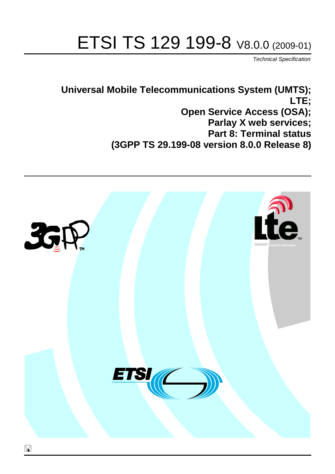# ETSI TS 129 199-8 V8.0.0 (2009-01)

*Technical Specification*

**Universal Mobile Telecommunications System (UMTS); LTE; Open Service Access (OSA); Parlay X web services; Part 8: Terminal status (3GPP TS 29.199-08 version 8.0.0 Release 8)**

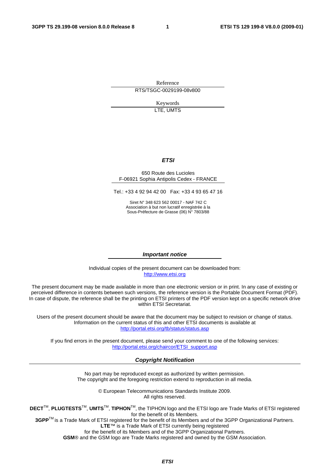Reference RTS/TSGC-0029199-08v800

> Keywords LTE, UMTS

#### *ETSI*

#### 650 Route des Lucioles F-06921 Sophia Antipolis Cedex - FRANCE

Tel.: +33 4 92 94 42 00 Fax: +33 4 93 65 47 16

Siret N° 348 623 562 00017 - NAF 742 C Association à but non lucratif enregistrée à la Sous-Préfecture de Grasse (06) N° 7803/88

#### *Important notice*

Individual copies of the present document can be downloaded from: [http://www.etsi.org](http://www.etsi.org/)

The present document may be made available in more than one electronic version or in print. In any case of existing or perceived difference in contents between such versions, the reference version is the Portable Document Format (PDF). In case of dispute, the reference shall be the printing on ETSI printers of the PDF version kept on a specific network drive within ETSI Secretariat.

Users of the present document should be aware that the document may be subject to revision or change of status. Information on the current status of this and other ETSI documents is available at <http://portal.etsi.org/tb/status/status.asp>

If you find errors in the present document, please send your comment to one of the following services: [http://portal.etsi.org/chaircor/ETSI\\_support.asp](http://portal.etsi.org/chaircor/ETSI_support.asp)

#### *Copyright Notification*

No part may be reproduced except as authorized by written permission. The copyright and the foregoing restriction extend to reproduction in all media.

> © European Telecommunications Standards Institute 2009. All rights reserved.

**DECT**TM, **PLUGTESTS**TM, **UMTS**TM, **TIPHON**TM, the TIPHON logo and the ETSI logo are Trade Marks of ETSI registered for the benefit of its Members.

**3GPP**TM is a Trade Mark of ETSI registered for the benefit of its Members and of the 3GPP Organizational Partners. **LTE**™ is a Trade Mark of ETSI currently being registered

for the benefit of its Members and of the 3GPP Organizational Partners.

**GSM**® and the GSM logo are Trade Marks registered and owned by the GSM Association.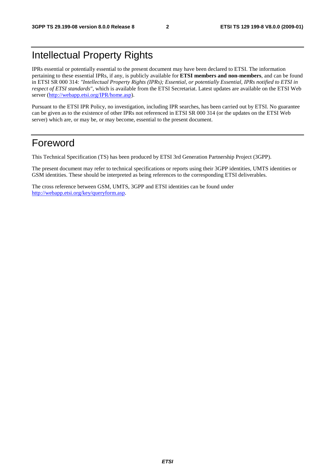# Intellectual Property Rights

IPRs essential or potentially essential to the present document may have been declared to ETSI. The information pertaining to these essential IPRs, if any, is publicly available for **ETSI members and non-members**, and can be found in ETSI SR 000 314: *"Intellectual Property Rights (IPRs); Essential, or potentially Essential, IPRs notified to ETSI in respect of ETSI standards"*, which is available from the ETSI Secretariat. Latest updates are available on the ETSI Web server ([http://webapp.etsi.org/IPR/home.asp\)](http://webapp.etsi.org/IPR/home.asp).

Pursuant to the ETSI IPR Policy, no investigation, including IPR searches, has been carried out by ETSI. No guarantee can be given as to the existence of other IPRs not referenced in ETSI SR 000 314 (or the updates on the ETSI Web server) which are, or may be, or may become, essential to the present document.

# Foreword

This Technical Specification (TS) has been produced by ETSI 3rd Generation Partnership Project (3GPP).

The present document may refer to technical specifications or reports using their 3GPP identities, UMTS identities or GSM identities. These should be interpreted as being references to the corresponding ETSI deliverables.

The cross reference between GSM, UMTS, 3GPP and ETSI identities can be found under [http://webapp.etsi.org/key/queryform.asp.](http://webapp.etsi.org/key/queryform.asp)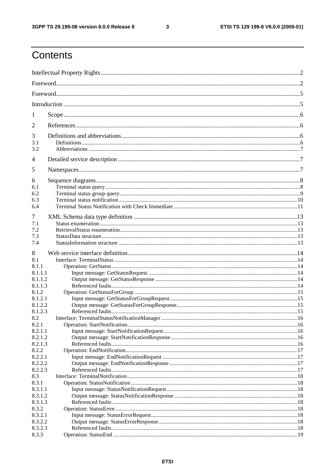$\mathbf{3}$ 

# Contents

| 1                  |  |  |  |  |  |  |
|--------------------|--|--|--|--|--|--|
| 2                  |  |  |  |  |  |  |
| 3<br>3.1           |  |  |  |  |  |  |
| 3.2                |  |  |  |  |  |  |
| 4                  |  |  |  |  |  |  |
| 5                  |  |  |  |  |  |  |
| 6                  |  |  |  |  |  |  |
| 6.1                |  |  |  |  |  |  |
| 6.2                |  |  |  |  |  |  |
| 6.3<br>6.4         |  |  |  |  |  |  |
|                    |  |  |  |  |  |  |
| 7                  |  |  |  |  |  |  |
| 7.1                |  |  |  |  |  |  |
| 7.2                |  |  |  |  |  |  |
| 7.3                |  |  |  |  |  |  |
| 7.4                |  |  |  |  |  |  |
| 8                  |  |  |  |  |  |  |
| 8.1                |  |  |  |  |  |  |
| 8.1.1              |  |  |  |  |  |  |
| 8.1.1.1            |  |  |  |  |  |  |
| 8.1.1.2            |  |  |  |  |  |  |
| 8.1.1.3            |  |  |  |  |  |  |
| 8.1.2              |  |  |  |  |  |  |
| 8.1.2.1            |  |  |  |  |  |  |
| 8.1.2.2            |  |  |  |  |  |  |
| 8.1.2.3            |  |  |  |  |  |  |
| 8.2                |  |  |  |  |  |  |
| 8.2.1              |  |  |  |  |  |  |
| 8.2.1.1            |  |  |  |  |  |  |
| 8.2.1.2            |  |  |  |  |  |  |
| 8.2.1.3            |  |  |  |  |  |  |
| 8.2.2              |  |  |  |  |  |  |
| 8.2.2.1            |  |  |  |  |  |  |
| 8.2.2.2            |  |  |  |  |  |  |
| 8.2.2.3            |  |  |  |  |  |  |
| 8.3                |  |  |  |  |  |  |
| 8.3.1              |  |  |  |  |  |  |
| 8.3.1.1            |  |  |  |  |  |  |
| 8.3.1.2<br>8.3.1.3 |  |  |  |  |  |  |
| 8.3.2              |  |  |  |  |  |  |
| 8.3.2.1            |  |  |  |  |  |  |
| 8.3.2.2            |  |  |  |  |  |  |
| 8.3.2.3            |  |  |  |  |  |  |
| 8.3.3              |  |  |  |  |  |  |
|                    |  |  |  |  |  |  |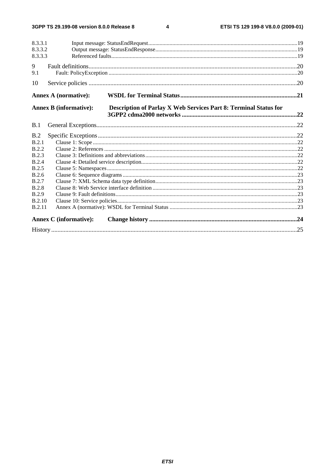$\overline{\mathbf{4}}$ 

| 8.3.3.1       |                                                                                                          |  |  |  |  |  |
|---------------|----------------------------------------------------------------------------------------------------------|--|--|--|--|--|
| 8.3.3.2       |                                                                                                          |  |  |  |  |  |
| 8.3.3.3       |                                                                                                          |  |  |  |  |  |
| 9             |                                                                                                          |  |  |  |  |  |
| 9.1           |                                                                                                          |  |  |  |  |  |
| 10            |                                                                                                          |  |  |  |  |  |
|               | <b>Annex A (normative):</b>                                                                              |  |  |  |  |  |
|               | <b>Annex B</b> (informative):<br><b>Description of Parlay X Web Services Part 8: Terminal Status for</b> |  |  |  |  |  |
| B.1           |                                                                                                          |  |  |  |  |  |
|               |                                                                                                          |  |  |  |  |  |
| B.2           |                                                                                                          |  |  |  |  |  |
| B.2.1         |                                                                                                          |  |  |  |  |  |
| <b>B.2.2</b>  |                                                                                                          |  |  |  |  |  |
| <b>B.2.3</b>  |                                                                                                          |  |  |  |  |  |
| <b>B.2.4</b>  |                                                                                                          |  |  |  |  |  |
| B.2.5         |                                                                                                          |  |  |  |  |  |
| B.2.6         |                                                                                                          |  |  |  |  |  |
| B.2.7         |                                                                                                          |  |  |  |  |  |
| <b>B.2.8</b>  |                                                                                                          |  |  |  |  |  |
| <b>B.2.9</b>  |                                                                                                          |  |  |  |  |  |
| <b>B.2.10</b> |                                                                                                          |  |  |  |  |  |
| <b>B.2.11</b> |                                                                                                          |  |  |  |  |  |
|               | <b>Annex C</b> (informative):                                                                            |  |  |  |  |  |
|               |                                                                                                          |  |  |  |  |  |
|               |                                                                                                          |  |  |  |  |  |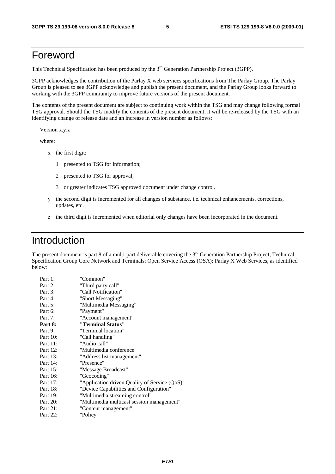# Foreword

This Technical Specification has been produced by the 3<sup>rd</sup> Generation Partnership Project (3GPP).

3GPP acknowledges the contribution of the Parlay X web services specifications from The Parlay Group. The Parlay Group is pleased to see 3GPP acknowledge and publish the present document, and the Parlay Group looks forward to working with the 3GPP community to improve future versions of the present document.

The contents of the present document are subject to continuing work within the TSG and may change following formal TSG approval. Should the TSG modify the contents of the present document, it will be re-released by the TSG with an identifying change of release date and an increase in version number as follows:

Version x.y.z

where:

- x the first digit:
	- 1 presented to TSG for information;
	- 2 presented to TSG for approval;
	- 3 or greater indicates TSG approved document under change control.
- y the second digit is incremented for all changes of substance, i.e. technical enhancements, corrections, updates, etc.
- z the third digit is incremented when editorial only changes have been incorporated in the document.

### Introduction

The present document is part 8 of a multi-part deliverable covering the  $3<sup>rd</sup>$  Generation Partnership Project; Technical Specification Group Core Network and Terminals; Open Service Access (OSA); Parlay X Web Services, as identified below:

| Part 1:  | "Common"                                      |
|----------|-----------------------------------------------|
| Part 2:  | "Third party call"                            |
| Part 3:  | "Call Notification"                           |
| Part 4:  | "Short Messaging"                             |
| Part 5:  | "Multimedia Messaging"                        |
| Part 6:  | "Payment"                                     |
| Part 7:  | "Account management"                          |
| Part 8:  | "Terminal Status"                             |
| Part 9:  | "Terminal location"                           |
| Part 10: | "Call handling"                               |
| Part 11: | "Audio call"                                  |
| Part 12: | "Multimedia conference"                       |
| Part 13: | "Address list management"                     |
| Part 14: | "Presence"                                    |
| Part 15: | "Message Broadcast"                           |
| Part 16: | "Geocoding"                                   |
| Part 17: | "Application driven Quality of Service (QoS)" |
| Part 18: | "Device Capabilities and Configuration"       |
| Part 19: | "Multimedia streaming control"                |
| Part 20: | "Multimedia multicast session management"     |
| Part 21: | "Content management"                          |
| Part 22: | "Policy"                                      |
|          |                                               |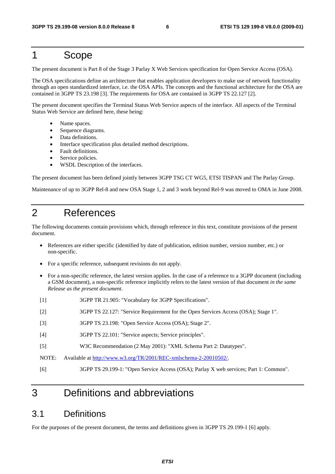### 1 Scope

The present document is Part 8 of the Stage 3 Parlay X Web Services specification for Open Service Access (OSA).

The OSA specifications define an architecture that enables application developers to make use of network functionality through an open standardized interface, i.e. the OSA APIs. The concepts and the functional architecture for the OSA are contained in 3GPP TS 23.198 [3]. The requirements for OSA are contained in 3GPP TS 22.127 [2].

The present document specifies the Terminal Status Web Service aspects of the interface. All aspects of the Terminal Status Web Service are defined here, these being:

- Name spaces.
- Sequence diagrams.
- Data definitions.
- Interface specification plus detailed method descriptions.
- Fault definitions.
- Service policies.
- WSDL Description of the interfaces.

The present document has been defined jointly between 3GPP TSG CT WG5, ETSI TISPAN and The Parlay Group.

Maintenance of up to 3GPP Rel-8 and new OSA Stage 1, 2 and 3 work beyond Rel-9 was moved to OMA in June 2008.

### 2 References

The following documents contain provisions which, through reference in this text, constitute provisions of the present document.

- References are either specific (identified by date of publication, edition number, version number, etc.) or non-specific.
- For a specific reference, subsequent revisions do not apply.
- For a non-specific reference, the latest version applies. In the case of a reference to a 3GPP document (including a GSM document), a non-specific reference implicitly refers to the latest version of that document *in the same Release as the present document*.
- [1] 3GPP TR 21.905: "Vocabulary for 3GPP Specifications".
- [2] 3GPP TS 22.127: "Service Requirement for the Open Services Access (OSA); Stage 1".
- [3] 3GPP TS 23.198: "Open Service Access (OSA); Stage 2".
- [4] 3GPP TS 22.101: "Service aspects; Service principles".
- [5] W3C Recommendation (2 May 2001): "XML Schema Part 2: Datatypes".
- NOTE: Available at [http://www.w3.org/TR/2001/REC-xmlschema-2-20010502/.](http://www.w3.org/TR/2001/REC-xmlschema-2-20010502/)
- [6] 3GPP TS 29.199-1: "Open Service Access (OSA); Parlay X web services; Part 1: Common".

# 3 Definitions and abbreviations

#### 3.1 Definitions

For the purposes of the present document, the terms and definitions given in 3GPP TS 29.199-1 [6] apply.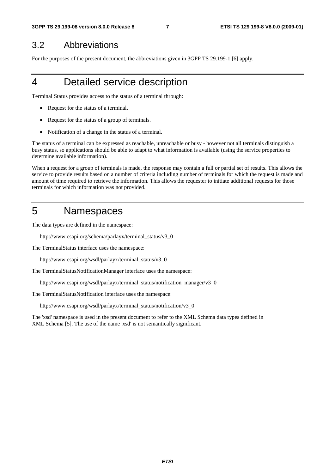### 3.2 Abbreviations

For the purposes of the present document, the abbreviations given in 3GPP TS 29.199-1 [6] apply.

# 4 Detailed service description

Terminal Status provides access to the status of a terminal through:

- Request for the status of a terminal.
- Request for the status of a group of terminals.
- Notification of a change in the status of a terminal.

The status of a terminal can be expressed as reachable, unreachable or busy - however not all terminals distinguish a busy status, so applications should be able to adapt to what information is available (using the service properties to determine available information).

When a request for a group of terminals is made, the response may contain a full or partial set of results. This allows the service to provide results based on a number of criteria including number of terminals for which the request is made and amount of time required to retrieve the information. This allows the requester to initiate additional requests for those terminals for which information was not provided.

### 5 Namespaces

The data types are defined in the namespace:

http://www.csapi.org/schema/parlayx/terminal\_status/v3\_0

The TerminalStatus interface uses the namespace:

http://www.csapi.org/wsdl/parlayx/terminal\_status/v3\_0

The TerminalStatusNotificationManager interface uses the namespace:

http://www.csapi.org/wsdl/parlayx/terminal\_status/notification\_manager/v3\_0

The TerminalStatusNotification interface uses the namespace:

http://www.csapi.org/wsdl/parlayx/terminal\_status/notification/v3\_0

The 'xsd' namespace is used in the present document to refer to the XML Schema data types defined in XML Schema [5]. The use of the name 'xsd' is not semantically significant.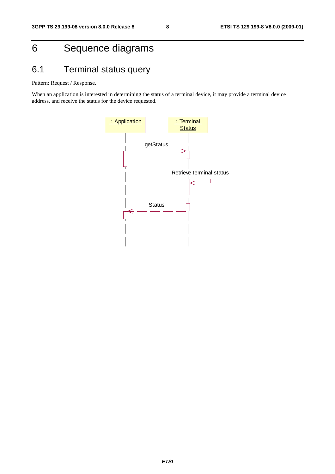# 6 Sequence diagrams

# 6.1 Terminal status query

Pattern: Request / Response.

When an application is interested in determining the status of a terminal device, it may provide a terminal device address, and receive the status for the device requested.

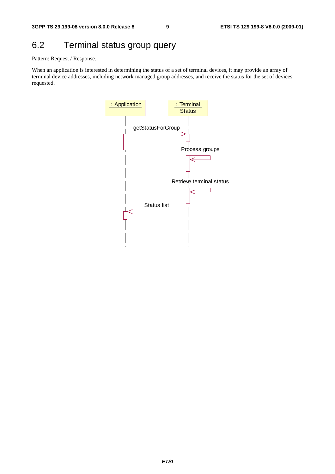# 6.2 Terminal status group query

Pattern: Request / Response.

When an application is interested in determining the status of a set of terminal devices, it may provide an array of terminal device addresses, including network managed group addresses, and receive the status for the set of devices requested.

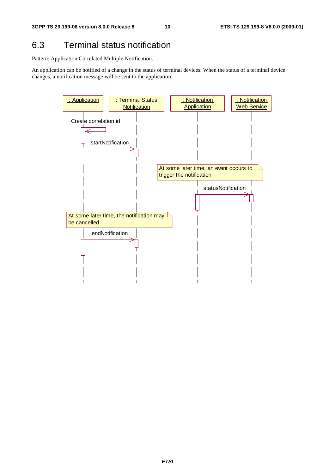# 6.3 Terminal status notification

Pattern: Application Correlated Multiple Notification.

An application can be notified of a change in the status of terminal devices. When the status of a terminal device changes, a notification message will be sent to the application.

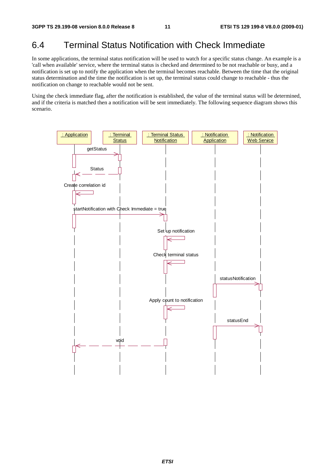# 6.4 Terminal Status Notification with Check Immediate

In some applications, the terminal status notification will be used to watch for a specific status change. An example is a 'call when available' service, where the terminal status is checked and determined to be not reachable or busy, and a notification is set up to notify the application when the terminal becomes reachable. Between the time that the original status determination and the time the notification is set up, the terminal status could change to reachable - thus the notification on change to reachable would not be sent.

Using the check immediate flag, after the notification is established, the value of the terminal status will be determined, and if the criteria is matched then a notification will be sent immediately. The following sequence diagram shows this scenario.

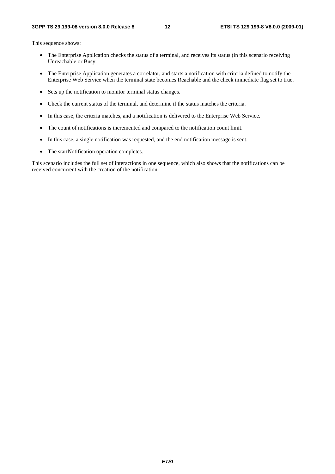This sequence shows:

- The Enterprise Application checks the status of a terminal, and receives its status (in this scenario receiving Unreachable or Busy.
- The Enterprise Application generates a correlator, and starts a notification with criteria defined to notify the Enterprise Web Service when the terminal state becomes Reachable and the check immediate flag set to true.
- Sets up the notification to monitor terminal status changes.
- Check the current status of the terminal, and determine if the status matches the criteria.
- In this case, the criteria matches, and a notification is delivered to the Enterprise Web Service.
- The count of notifications is incremented and compared to the notification count limit.
- In this case, a single notification was requested, and the end notification message is sent.
- The startNotification operation completes.

This scenario includes the full set of interactions in one sequence, which also shows that the notifications can be received concurrent with the creation of the notification.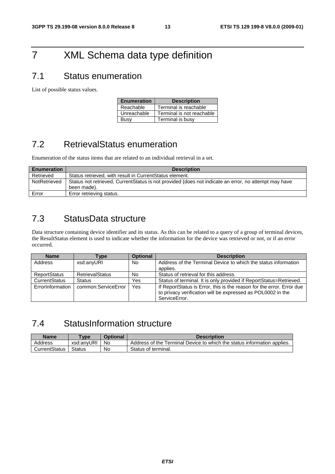# 7 XML Schema data type definition

# 7.1 Status enumeration

List of possible status values.

| <b>Enumeration</b> | <b>Description</b>        |
|--------------------|---------------------------|
| Reachable          | Terminal is reachable     |
| Unreachable        | Terminal is not reachable |
| Busy               | Terminal is busy          |

# 7.2 RetrievalStatus enumeration

Enumeration of the status items that are related to an individual retrieval in a set.

| <b>Enumeration</b> | <b>Description</b>                                                                                   |  |  |  |  |
|--------------------|------------------------------------------------------------------------------------------------------|--|--|--|--|
| Retrieved          | Status retrieved, with result in CurrentStatus element.                                              |  |  |  |  |
| NotRetrieved       | Status not retrieved, CurrentStatus is not provided (does not indicate an error, no attempt may have |  |  |  |  |
|                    | been made).                                                                                          |  |  |  |  |
| Error              | Error retrieving status.                                                                             |  |  |  |  |

# 7.3 StatusData structure

Data structure containing device identifier and its status. As this can be related to a query of a group of terminal devices, the ResultStatus element is used to indicate whether the information for the device was retrieved or not, or if an error occurred.

| <b>Name</b>         | Type                   | <b>Optional</b> | <b>Description</b>                                                                                                                                    |
|---------------------|------------------------|-----------------|-------------------------------------------------------------------------------------------------------------------------------------------------------|
| Address             | xsd:anyURI             | No              | Address of the Terminal Device to which the status information<br>applies.                                                                            |
| <b>ReportStatus</b> | <b>RetrievalStatus</b> | <b>No</b>       | Status of retrieval for this address.                                                                                                                 |
| CurrentStatus       | <b>Status</b>          | Yes             | Status of terminal. It is only provided if ReportStatus=Retrieved.                                                                                    |
| ErrorInformation    | common:ServiceError    | Yes             | If ReportStatus is Error, this is the reason for the error. Error due<br>to privacy verification will be expressed as POL0002 in the<br>ServiceError. |

# 7.4 StatusInformation structure

| Name          | <b>Type</b>   | <b>Optional</b> | <b>Description</b>                                                      |
|---------------|---------------|-----------------|-------------------------------------------------------------------------|
| Address       | xsd:anvURI    | No              | Address of the Terminal Device to which the status information applies. |
| CurrentStatus | <b>Status</b> | No              | Status of terminal.                                                     |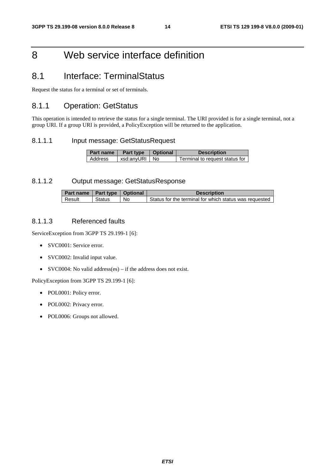# 8 Web service interface definition

# 8.1 Interface: TerminalStatus

Request the status for a terminal or set of terminals.

#### 8.1.1 Operation: GetStatus

This operation is intended to retrieve the status for a single terminal. The URI provided is for a single terminal, not a group URI. If a group URI is provided, a PolicyException will be returned to the application.

#### 8.1.1.1 Input message: GetStatusRequest

| <b>Part name I</b> | Part type   Optional | <b>Description</b>             |
|--------------------|----------------------|--------------------------------|
| Address            | xsd:anyURI No        | Terminal to request status for |

#### 8.1.1.2 Output message: GetStatusResponse

| Part name   Part type   Optional |               |           | <b>Description</b>                                     |
|----------------------------------|---------------|-----------|--------------------------------------------------------|
| Result                           | <b>Status</b> | <b>No</b> | Status for the terminal for which status was requested |

#### 8.1.1.3 Referenced faults

ServiceException from 3GPP TS 29.199-1 [6]:

- SVC0001: Service error.
- SVC0002: Invalid input value.
- SVC0004: No valid address(es) if the address does not exist.

PolicyException from 3GPP TS 29.199-1 [6]:

- POL0001: Policy error.
- POL0002: Privacy error.
- POL0006: Groups not allowed.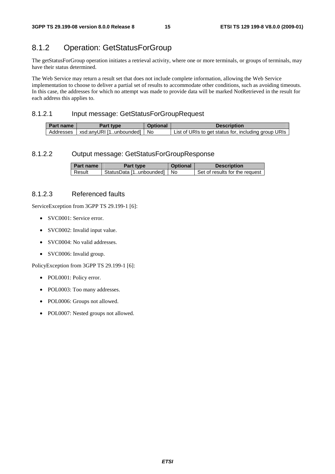#### 8.1.2 Operation: GetStatusForGroup

The getStatusForGroup operation initiates a retrieval activity, where one or more terminals, or groups of terminals, may have their status determined.

The Web Service may return a result set that does not include complete information, allowing the Web Service implementation to choose to deliver a partial set of results to accommodate other conditions, such as avoiding timeouts. In this case, the addresses for which no attempt was made to provide data will be marked NotRetrieved in the result for each address this applies to.

#### 8.1.2.1 Input message: GetStatusForGroupRequest

| Part name | <b>Part type</b>           | Optional | <b>Description</b>                                   |
|-----------|----------------------------|----------|------------------------------------------------------|
| Addresses | xsd:anvURI [1unbounded] No |          | List of URIs to get status for, including group URIs |

#### 8.1.2.2 Output message: GetStatusForGroupResponse

| Part name | Part type                    | <b>Optional</b> | <b>Description</b>             |
|-----------|------------------------------|-----------------|--------------------------------|
| Result    | StatusData [1unbounded]   No |                 | Set of results for the request |

#### 8.1.2.3 Referenced faults

ServiceException from 3GPP TS 29.199-1 [6]:

- SVC0001: Service error.
- SVC0002: Invalid input value.
- SVC0004: No valid addresses.
- SVC0006: Invalid group.

PolicyException from 3GPP TS 29.199-1 [6]:

- POL0001: Policy error.
- POL0003: Too many addresses.
- POL0006: Groups not allowed.
- POL0007: Nested groups not allowed.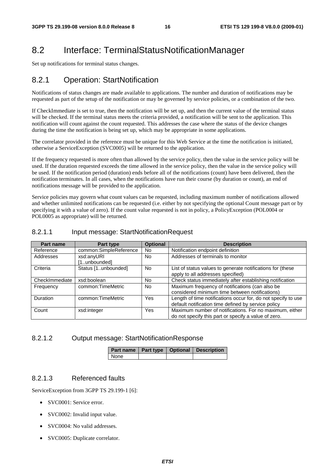# 8.2 Interface: TerminalStatusNotificationManager

Set up notifications for terminal status changes.

#### 8.2.1 Operation: StartNotification

Notifications of status changes are made available to applications. The number and duration of notifications may be requested as part of the setup of the notification or may be governed by service policies, or a combination of the two.

If CheckImmediate is set to true, then the notification will be set up, and then the current value of the terminal status will be checked. If the terminal status meets the criteria provided, a notification will be sent to the application. This notification will count against the count requested. This addresses the case where the status of the device changes during the time the notification is being set up, which may be appropriate in some applications.

The correlator provided in the reference must be unique for this Web Service at the time the notification is initiated, otherwise a ServiceException (SVC0005) will be returned to the application.

If the frequency requested is more often than allowed by the service policy, then the value in the service policy will be used. If the duration requested exceeds the time allowed in the service policy, then the value in the service policy will be used. If the notification period (duration) ends before all of the notifications (count) have been delivered, then the notification terminates. In all cases, when the notifications have run their course (by duration or count), an end of notifications message will be provided to the application.

Service policies may govern what count values can be requested, including maximum number of notifications allowed and whether unlimited notifications can be requested (i.e. either by not specifying the optional Count message part or by specifying it with a value of zero). If the count value requested is not in policy, a PolicyException (POL0004 or POL0005 as appropriate) will be returned.

#### 8.2.1.1 Input message: StartNotificationRequest

| <b>Part name</b> | Part type                  | <b>Optional</b> | <b>Description</b>                                                                                                   |
|------------------|----------------------------|-----------------|----------------------------------------------------------------------------------------------------------------------|
| Reference        | common:SimpleReference     | <b>No</b>       | Notification endpoint definition                                                                                     |
| Addresses        | xsd:anyURI<br>[1unbounded] | No.             | Addresses of terminals to monitor                                                                                    |
| Criteria         | Status [1unbounded]        | <b>No</b>       | List of status values to generate notifications for (these<br>apply to all addresses specified)                      |
| CheckImmediate   | xsd:boolean                | No.             | Check status immediately after establishing notification                                                             |
| Frequency        | common:TimeMetric          | No.             | Maximum frequency of notifications (can also be<br>considered minimum time between notifications)                    |
| Duration         | common:TimeMetric          | Yes             | Length of time notifications occur for, do not specify to use<br>default notification time defined by service policy |
| Count            | xsd:integer                | Yes             | Maximum number of notifications. For no maximum, either<br>do not specify this part or specify a value of zero.      |

#### 8.2.1.2 Output message: StartNotificationResponse

|      |  | Part name   Part type   Optional   Description |
|------|--|------------------------------------------------|
| None |  |                                                |

#### 8.2.1.3 Referenced faults

ServiceException from 3GPP TS 29.199-1 [6]:

- SVC0001: Service error.
- SVC0002: Invalid input value.
- SVC0004: No valid addresses.
- SVC0005: Duplicate correlator.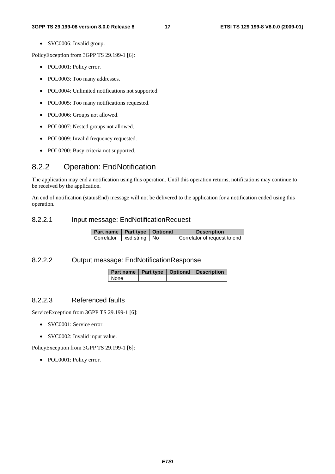• SVC0006: Invalid group.

PolicyException from 3GPP TS 29.199-1 [6]:

- POL0001: Policy error.
- POL0003: Too many addresses.
- POL0004: Unlimited notifications not supported.
- POL0005: Too many notifications requested.
- POL0006: Groups not allowed.
- POL0007: Nested groups not allowed.
- POL0009: Invalid frequency requested.
- POL0200: Busy criteria not supported.

#### 8.2.2 Operation: EndNotification

The application may end a notification using this operation. Until this operation returns, notifications may continue to be received by the application.

An end of notification (statusEnd) message will not be delivered to the application for a notification ended using this operation.

#### 8.2.2.1 Input message: EndNotificationRequest

| Part name   Part type   Optional |  | <b>Description</b>           |
|----------------------------------|--|------------------------------|
| Correlator   xsd:string   No     |  | Correlator of request to end |

#### 8.2.2.2 Output message: EndNotificationResponse

|      |  | Part name   Part type   Optional   Description |
|------|--|------------------------------------------------|
| None |  |                                                |

#### 8.2.2.3 Referenced faults

ServiceException from 3GPP TS 29.199-1 [6]:

- SVC0001: Service error.
- SVC0002: Invalid input value.

PolicyException from 3GPP TS 29.199-1 [6]:

• POL0001: Policy error.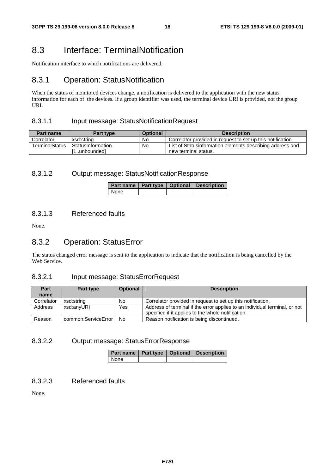### 8.3 Interface: TerminalNotification

Notification interface to which notifications are delivered.

#### 8.3.1 Operation: StatusNotification

When the status of monitored devices change, a notification is delivered to the application with the new status information for each of the devices. If a group identifier was used, the terminal device URI is provided, not the group URI.

#### 8.3.1.1 Input message: StatusNotificationRequest

| Part name             | <b>Part type</b>  | <b>Optional</b> | <b>Description</b>                                         |
|-----------------------|-------------------|-----------------|------------------------------------------------------------|
| Correlator            | xsd:string        | No              | Correlator provided in request to set up this notification |
| <b>TerminalStatus</b> | StatusInformation | No              | List of Statusinformation elements describing address and  |
|                       | 1unboundedl       |                 | new terminal status.                                       |

#### 8.3.1.2 Output message: StatusNotificationResponse

|      |  | Part name   Part type   Optional   Description |
|------|--|------------------------------------------------|
| None |  |                                                |

#### 8.3.1.3 Referenced faults

None.

#### 8.3.2 Operation: StatusError

The status changed error message is sent to the application to indicate that the notification is being cancelled by the Web Service.

#### 8.3.2.1 Input message: StatusErrorRequest

| Part       | Part type           | <b>Optional</b> | <b>Description</b>                                                                                                               |  |
|------------|---------------------|-----------------|----------------------------------------------------------------------------------------------------------------------------------|--|
| name       |                     |                 |                                                                                                                                  |  |
| Correlator | xsd:string          | No              | Correlator provided in request to set up this notification.                                                                      |  |
| Address    | xsd:anyURI          | Yes             | Address of terminal if the error applies to an individual terminal, or not<br>specified if it applies to the whole notification. |  |
| Reason     | common:ServiceError | No              | Reason notification is being discontinued.                                                                                       |  |

#### 8.3.2.2 Output message: StatusErrorResponse

|      |  | Part name   Part type   Optional   Description |
|------|--|------------------------------------------------|
| None |  |                                                |

#### 8.3.2.3 Referenced faults

None.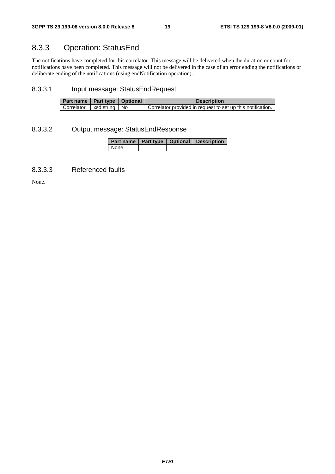# 8.3.3 Operation: StatusEnd

The notifications have completed for this correlator. This message will be delivered when the duration or count for notifications have been completed. This message will not be delivered in the case of an error ending the notifications or deliberate ending of the notifications (using endNotification operation).

#### 8.3.3.1 Input message: StatusEndRequest

| Part name   Part type   Optional |  | <b>Description</b>                                          |
|----------------------------------|--|-------------------------------------------------------------|
| Correlator   xsd:string   No     |  | Correlator provided in request to set up this notification. |

#### 8.3.3.2 Output message: StatusEndResponse

|        |  | Part name   Part type   Optional   Description |
|--------|--|------------------------------------------------|
| l None |  |                                                |

#### 8.3.3.3 Referenced faults

None.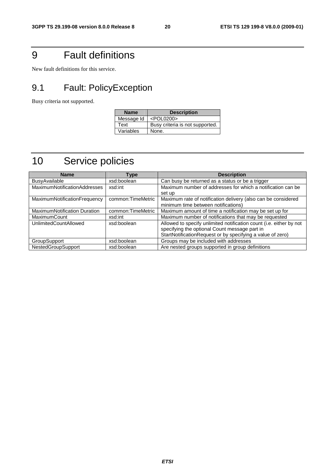# 9 Fault definitions

New fault definitions for this service.

# 9.1 Fault: PolicyException

Busy criteria not supported.

| <b>Name</b> | <b>Description</b>              |
|-------------|---------------------------------|
| Message Id  | <pol0200></pol0200>             |
| Text        | Busy criteria is not supported. |
| Variables   | None.                           |

# 10 Service policies

| <b>Name</b>                  | Type               | <b>Description</b>                                                  |
|------------------------------|--------------------|---------------------------------------------------------------------|
| <b>BusyAvailable</b>         | xsd:boolean        | Can busy be returned as a status or be a trigger                    |
| MaximumNotificationAddresses | xsd:int            | Maximum number of addresses for which a notification can be         |
|                              |                    | set up                                                              |
| MaximumNotificationFrequency | common:TimeMetric  | Maximum rate of notification delivery (also can be considered       |
|                              |                    | minimum time between notifications)                                 |
| MaximumNotification Duration | common: TimeMetric | Maximum amount of time a notification may be set up for             |
| MaximumCount                 | xsd:int            | Maximum number of notifications that may be requested               |
| <b>UnlimitedCountAllowed</b> | xsd:boolean        | Allowed to specify unlimited notification count (i.e. either by not |
|                              |                    | specifying the optional Count message part in                       |
|                              |                    | StartNotificationRequest or by specifying a value of zero)          |
| <b>GroupSupport</b>          | xsd:boolean        | Groups may be included with addresses                               |
| <b>NestedGroupSupport</b>    | xsd:boolean        | Are nested groups supported in group definitions                    |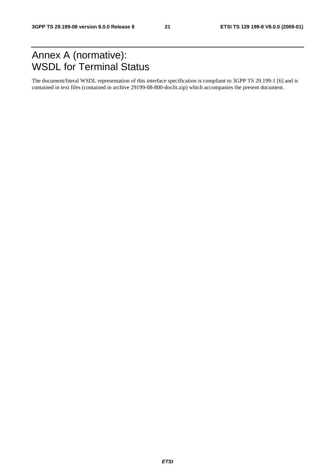# Annex A (normative): WSDL for Terminal Status

The document/literal WSDL representation of this interface specification is compliant to 3GPP TS 29.199-1 [6] and is contained in text files (contained in archive 29199-08-800-doclit.zip) which accompanies the present document.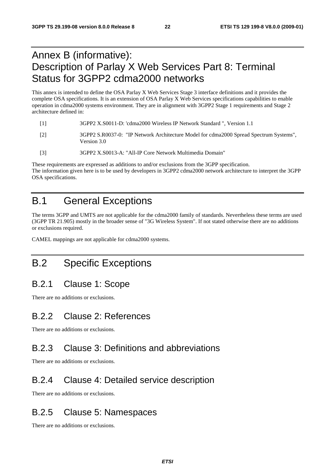# Annex B (informative): Description of Parlay X Web Services Part 8: Terminal Status for 3GPP2 cdma2000 networks

This annex is intended to define the OSA Parlay X Web Services Stage 3 interface definitions and it provides the complete OSA specifications. It is an extension of OSA Parlay X Web Services specifications capabilities to enable operation in cdma2000 systems environment. They are in alignment with 3GPP2 Stage 1 requirements and Stage 2 architecture defined in:

- [1] 3GPP2 X.S0011-D: 'cdma2000 Wireless IP Network Standard ", Version 1.1
- [2] 3GPP2 S.R0037-0: "IP Network Architecture Model for cdma2000 Spread Spectrum Systems", Version 3.0
- [3] 3GPP2 X.S0013-A: "All-IP Core Network Multimedia Domain"

These requirements are expressed as additions to and/or exclusions from the 3GPP specification. The information given here is to be used by developers in 3GPP2 cdma2000 network architecture to interpret the 3GPP OSA specifications.

# B.1 General Exceptions

The terms 3GPP and UMTS are not applicable for the cdma2000 family of standards. Nevertheless these terms are used (3GPP TR 21.905) mostly in the broader sense of "3G Wireless System". If not stated otherwise there are no additions or exclusions required.

CAMEL mappings are not applicable for cdma2000 systems.

# B.2 Specific Exceptions

### B.2.1 Clause 1: Scope

There are no additions or exclusions.

### B.2.2 Clause 2: References

There are no additions or exclusions.

### B.2.3 Clause 3: Definitions and abbreviations

There are no additions or exclusions.

### B.2.4 Clause 4: Detailed service description

There are no additions or exclusions.

### B.2.5 Clause 5: Namespaces

There are no additions or exclusions.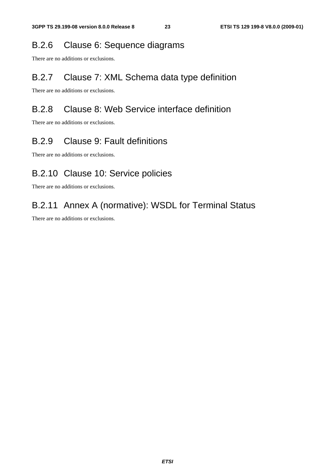### B.2.6 Clause 6: Sequence diagrams

There are no additions or exclusions.

### B.2.7 Clause 7: XML Schema data type definition

There are no additions or exclusions.

# B.2.8 Clause 8: Web Service interface definition

There are no additions or exclusions.

# B.2.9 Clause 9: Fault definitions

There are no additions or exclusions.

# B.2.10 Clause 10: Service policies

There are no additions or exclusions.

# B.2.11 Annex A (normative): WSDL for Terminal Status

There are no additions or exclusions.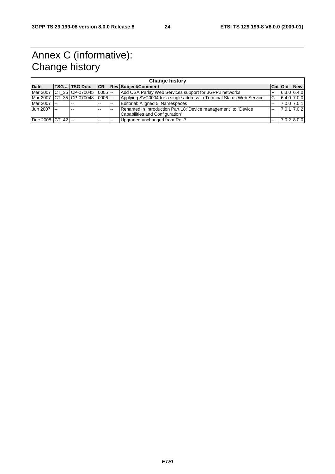# Annex C (informative): Change history

|                      | <b>Change history</b> |                            |            |                |                                                                                                    |                |  |               |
|----------------------|-----------------------|----------------------------|------------|----------------|----------------------------------------------------------------------------------------------------|----------------|--|---------------|
| <b>Date</b>          |                       | TSG #  TSG Doc.            |            |                | <b>CR Rev Subject/Comment</b>                                                                      | Cat Old        |  | <b>New</b>    |
|                      |                       | Mar 2007 ICT 35 ICP-070045 | $0005$ $-$ |                | Add OSA Parlay Web Services support for 3GPP2 networks                                             |                |  | 6.3.0 6.4.0   |
|                      |                       | Mar 2007 CT 35 CP-070048   | $0006$ $-$ |                | Applying SVC0004 for a single address in Terminal Status Web Service                               | C              |  | $6.4.0$ 7.0.0 |
| Mar 2007 --          |                       | $\sim$ $\sim$              |            | $\overline{a}$ | Editorial: Aligned 5 Namespaces                                                                    | $\overline{a}$ |  | 7.0.0 7.0.1   |
| Jun 2007 --          |                       | $\sim$ $\sim$              |            | $-$            | Renamed in Introduction Part 18: "Device management" to "Device<br>Capabilities and Configuration" | $\sim$         |  | 7.0.1 7.0.2   |
| Dec 2008   CT_42  -- |                       |                            |            | --             | Upgraded unchanged from Rel-7                                                                      | --             |  | $7.0.2$ 8.0.0 |